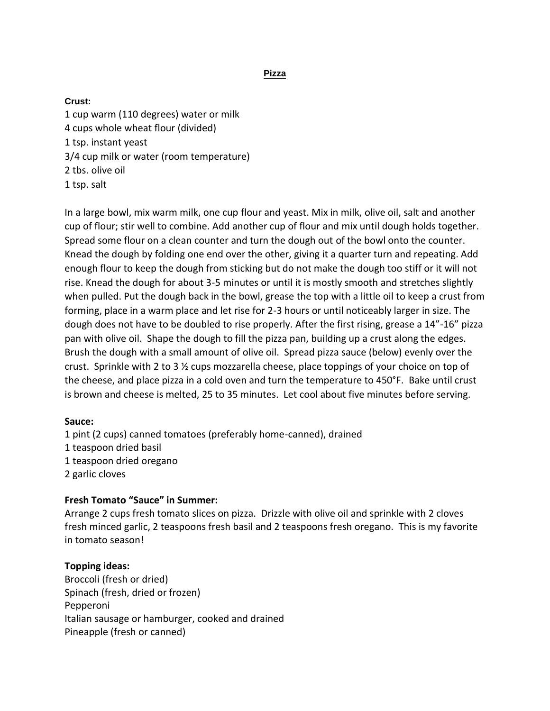**Pizza**

## **Crust:**

1 cup warm (110 degrees) water or milk 4 cups whole wheat flour (divided) 1 tsp. instant yeast 3/4 cup milk or water (room temperature) 2 tbs. olive oil 1 tsp. salt

In a large bowl, mix warm milk, one cup flour and yeast. Mix in milk, olive oil, salt and another cup of flour; stir well to combine. Add another cup of flour and mix until dough holds together. Spread some flour on a clean counter and turn the dough out of the bowl onto the counter. Knead the dough by folding one end over the other, giving it a quarter turn and repeating. Add enough flour to keep the dough from sticking but do not make the dough too stiff or it will not rise. Knead the dough for about 3-5 minutes or until it is mostly smooth and stretches slightly when pulled. Put the dough back in the bowl, grease the top with a little oil to keep a crust from forming, place in a warm place and let rise for 2-3 hours or until noticeably larger in size. The dough does not have to be doubled to rise properly. After the first rising, grease a 14"-16" pizza pan with olive oil. Shape the dough to fill the pizza pan, building up a crust along the edges. Brush the dough with a small amount of olive oil. Spread pizza sauce (below) evenly over the crust. Sprinkle with 2 to 3 ½ cups mozzarella cheese, place toppings of your choice on top of the cheese, and place pizza in a cold oven and turn the temperature to 450°F. Bake until crust is brown and cheese is melted, 25 to 35 minutes. Let cool about five minutes before serving.

## **Sauce:**

1 pint (2 cups) canned tomatoes (preferably home-canned), drained 1 teaspoon dried basil 1 teaspoon dried oregano 2 garlic cloves

## **Fresh Tomato "Sauce" in Summer:**

Arrange 2 cups fresh tomato slices on pizza. Drizzle with olive oil and sprinkle with 2 cloves fresh minced garlic, 2 teaspoons fresh basil and 2 teaspoons fresh oregano. This is my favorite in tomato season!

## **Topping ideas:**

Broccoli (fresh or dried) Spinach (fresh, dried or frozen) Pepperoni Italian sausage or hamburger, cooked and drained Pineapple (fresh or canned)